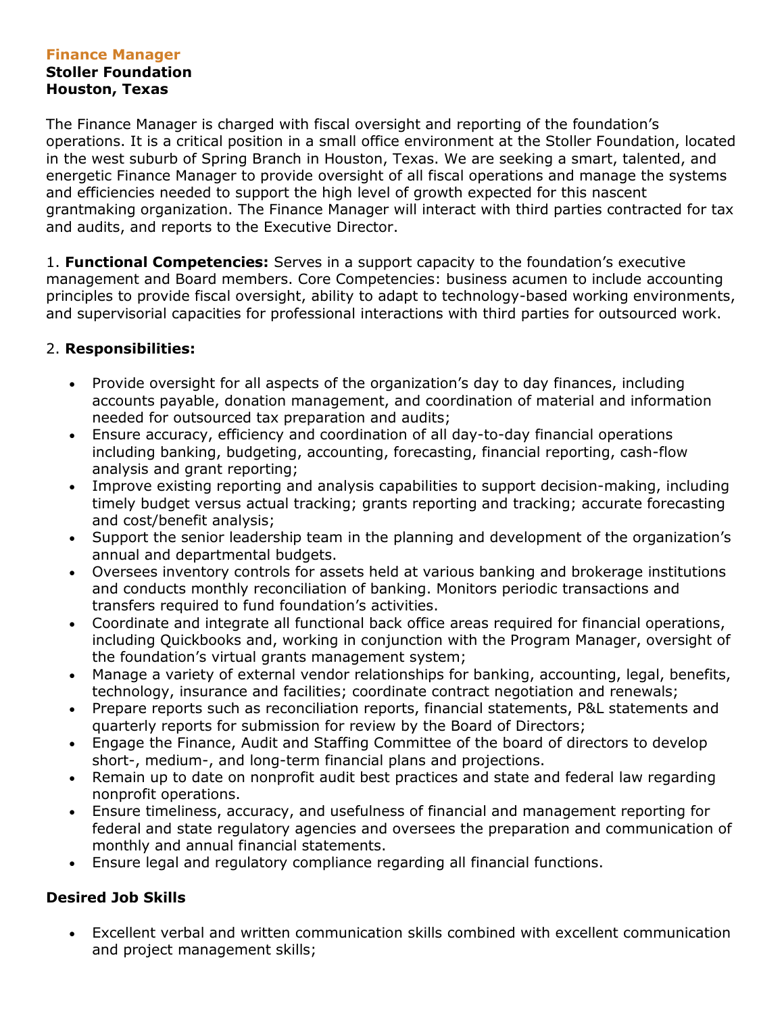# **Finance Manager**

#### **Stoller Foundation Houston, Texas**

The Finance Manager is charged with fiscal oversight and reporting of the foundation's operations. It is a critical position in a small office environment at the Stoller Foundation, located in the west suburb of Spring Branch in Houston, Texas. We are seeking a smart, talented, and energetic Finance Manager to provide oversight of all fiscal operations and manage the systems and efficiencies needed to support the high level of growth expected for this nascent grantmaking organization. The Finance Manager will interact with third parties contracted for tax and audits, and reports to the Executive Director.

1. **Functional Competencies:** Serves in a support capacity to the foundation's executive management and Board members. Core Competencies: business acumen to include accounting principles to provide fiscal oversight, ability to adapt to technology-based working environments, and supervisorial capacities for professional interactions with third parties for outsourced work.

## 2. **Responsibilities:**

- Provide oversight for all aspects of the organization's day to day finances, including accounts payable, donation management, and coordination of material and information needed for outsourced tax preparation and audits;
- Ensure accuracy, efficiency and coordination of all day-to-day financial operations including banking, budgeting, accounting, forecasting, financial reporting, cash-flow analysis and grant reporting;
- Improve existing reporting and analysis capabilities to support decision-making, including timely budget versus actual tracking; grants reporting and tracking; accurate forecasting and cost/benefit analysis;
- Support the senior leadership team in the planning and development of the organization's annual and departmental budgets.
- Oversees inventory controls for assets held at various banking and brokerage institutions and conducts monthly reconciliation of banking. Monitors periodic transactions and transfers required to fund foundation's activities.
- Coordinate and integrate all functional back office areas required for financial operations, including Quickbooks and, working in conjunction with the Program Manager, oversight of the foundation's virtual grants management system;
- Manage a variety of external vendor relationships for banking, accounting, legal, benefits, technology, insurance and facilities; coordinate contract negotiation and renewals;
- Prepare reports such as reconciliation reports, financial statements, P&L statements and quarterly reports for submission for review by the Board of Directors;
- Engage the Finance, Audit and Staffing Committee of the board of directors to develop short-, medium-, and long-term financial plans and projections.
- Remain up to date on nonprofit audit best practices and state and federal law regarding nonprofit operations.
- Ensure timeliness, accuracy, and usefulness of financial and management reporting for federal and state regulatory agencies and oversees the preparation and communication of monthly and annual financial statements.
- Ensure legal and regulatory compliance regarding all financial functions.

## **Desired Job Skills**

 Excellent verbal and written communication skills combined with excellent communication and project management skills;